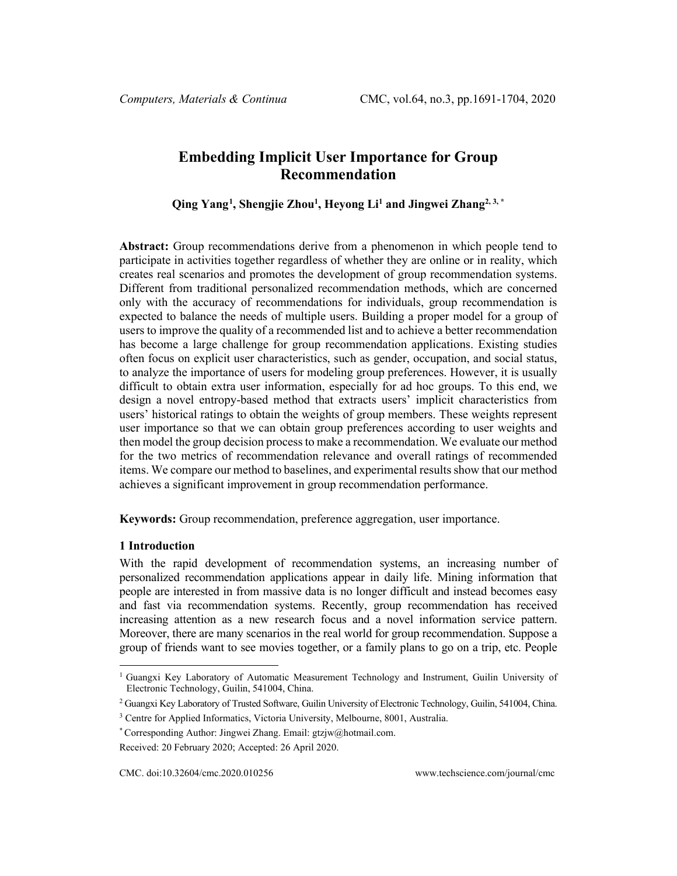# **Embedding Implicit User Importance for Group Recommendation**

**Qing Yang[1](#page-0-0) , Shengjie Zhou1 , Heyong Li1 and Jingwei Zhang2, 3, \***

**Abstract:** Group recommendations derive from a phenomenon in which people tend to participate in activities together regardless of whether they are online or in reality, which creates real scenarios and promotes the development of group recommendation systems. Different from traditional personalized recommendation methods, which are concerned only with the accuracy of recommendations for individuals, group recommendation is expected to balance the needs of multiple users. Building a proper model for a group of users to improve the quality of a recommended list and to achieve a better recommendation has become a large challenge for group recommendation applications. Existing studies often focus on explicit user characteristics, such as gender, occupation, and social status, to analyze the importance of users for modeling group preferences. However, it is usually difficult to obtain extra user information, especially for ad hoc groups. To this end, we design a novel entropy-based method that extracts users' implicit characteristics from users' historical ratings to obtain the weights of group members. These weights represent user importance so that we can obtain group preferences according to user weights and then model the group decision process to make a recommendation. We evaluate our method for the two metrics of recommendation relevance and overall ratings of recommended items. We compare our method to baselines, and experimental results show that our method achieves a significant improvement in group recommendation performance.

**Keywords:** Group recommendation, preference aggregation, user importance.

# **1 Introduction**

With the rapid development of recommendation systems, an increasing number of personalized recommendation applications appear in daily life. Mining information that people are interested in from massive data is no longer difficult and instead becomes easy and fast via recommendation systems. Recently, group recommendation has received increasing attention as a new research focus and a novel information service pattern. Moreover, there are many scenarios in the real world for group recommendation. Suppose a group of friends want to see movies together, or a family plans to go on a trip, etc. People

<span id="page-0-0"></span><sup>&</sup>lt;sup>1</sup> Guangxi Key Laboratory of Automatic Measurement Technology and Instrument, Guilin University of Electronic Technology, Guilin, 541004, China.

<sup>&</sup>lt;sup>2</sup> Guangxi Key Laboratory of Trusted Software, Guilin University of Electronic Technology, Guilin, 541004, China.

<sup>&</sup>lt;sup>3</sup> Centre for Applied Informatics, Victoria University, Melbourne, 8001, Australia.

<sup>\*</sup> Corresponding Author: Jingwei Zhang. Email: gtzjw@hotmail.com.

Received: 20 February 2020; Accepted: 26 April 2020.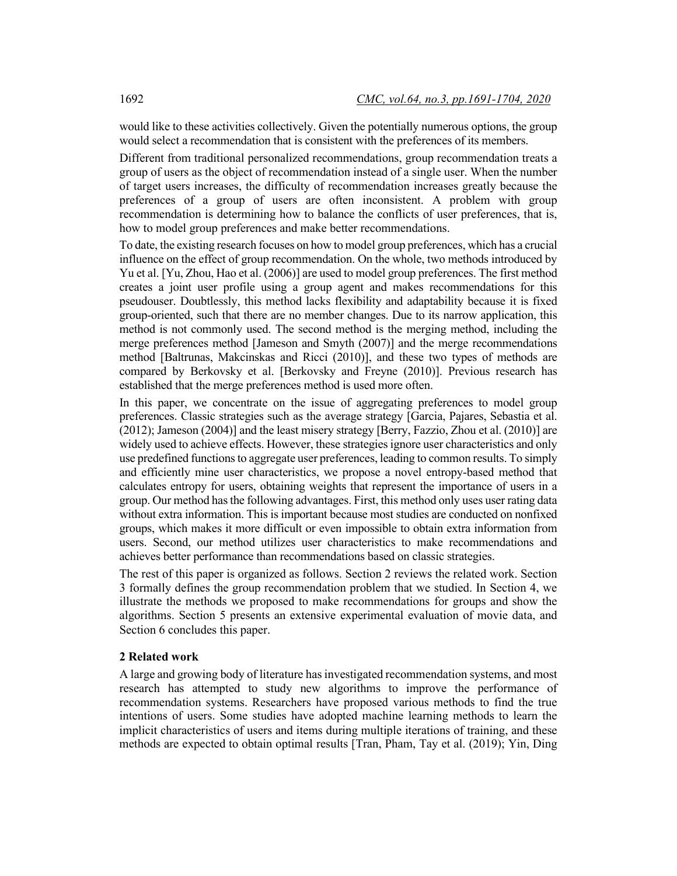would like to these activities collectively. Given the potentially numerous options, the group would select a recommendation that is consistent with the preferences of its members.

Different from traditional personalized recommendations, group recommendation treats a group of users as the object of recommendation instead of a single user. When the number of target users increases, the difficulty of recommendation increases greatly because the preferences of a group of users are often inconsistent. A problem with group recommendation is determining how to balance the conflicts of user preferences, that is, how to model group preferences and make better recommendations.

To date, the existing research focuses on how to model group preferences, which has a crucial influence on the effect of group recommendation. On the whole, two methods introduced by Yu et al. [Yu, Zhou, Hao et al. (2006)] are used to model group preferences. The first method creates a joint user profile using a group agent and makes recommendations for this pseudouser. Doubtlessly, this method lacks flexibility and adaptability because it is fixed group-oriented, such that there are no member changes. Due to its narrow application, this method is not commonly used. The second method is the merging method, including the merge preferences method [Jameson and Smyth (2007)] and the merge recommendations method [Baltrunas, Makcinskas and Ricci (2010)], and these two types of methods are compared by Berkovsky et al. [Berkovsky and Freyne (2010)]. Previous research has established that the merge preferences method is used more often.

In this paper, we concentrate on the issue of aggregating preferences to model group preferences. Classic strategies such as the average strategy [Garcia, Pajares, Sebastia et al. (2012); Jameson (2004)] and the least misery strategy [Berry, Fazzio, Zhou et al. (2010)] are widely used to achieve effects. However, these strategies ignore user characteristics and only use predefined functions to aggregate user preferences, leading to common results. To simply and efficiently mine user characteristics, we propose a novel entropy-based method that calculates entropy for users, obtaining weights that represent the importance of users in a group. Our method has the following advantages. First, this method only uses user rating data without extra information. This is important because most studies are conducted on nonfixed groups, which makes it more difficult or even impossible to obtain extra information from users. Second, our method utilizes user characteristics to make recommendations and achieves better performance than recommendations based on classic strategies.

The rest of this paper is organized as follows. Section 2 reviews the related work. Section 3 formally defines the group recommendation problem that we studied. In Section 4, we illustrate the methods we proposed to make recommendations for groups and show the algorithms. Section 5 presents an extensive experimental evaluation of movie data, and Section 6 concludes this paper.

#### **2 Related work**

A large and growing body of literature has investigated recommendation systems, and most research has attempted to study new algorithms to improve the performance of recommendation systems. Researchers have proposed various methods to find the true intentions of users. Some studies have adopted machine learning methods to learn the implicit characteristics of users and items during multiple iterations of training, and these methods are expected to obtain optimal results [Tran, Pham, Tay et al. (2019); Yin, Ding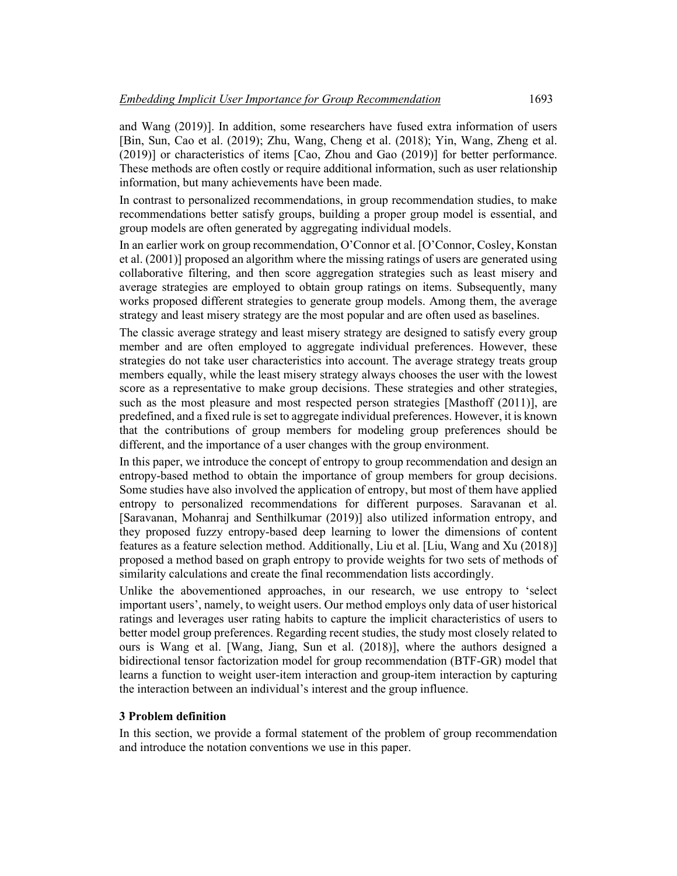and Wang (2019)]. In addition, some researchers have fused extra information of users [Bin, Sun, Cao et al. (2019); Zhu, Wang, Cheng et al. (2018); Yin, Wang, Zheng et al. (2019)] or characteristics of items [Cao, Zhou and Gao (2019)] for better performance. These methods are often costly or require additional information, such as user relationship information, but many achievements have been made.

In contrast to personalized recommendations, in group recommendation studies, to make recommendations better satisfy groups, building a proper group model is essential, and group models are often generated by aggregating individual models.

In an earlier work on group recommendation, O'Connor et al. [O'Connor, Cosley, Konstan et al. (2001)] proposed an algorithm where the missing ratings of users are generated using collaborative filtering, and then score aggregation strategies such as least misery and average strategies are employed to obtain group ratings on items. Subsequently, many works proposed different strategies to generate group models. Among them, the average strategy and least misery strategy are the most popular and are often used as baselines.

The classic average strategy and least misery strategy are designed to satisfy every group member and are often employed to aggregate individual preferences. However, these strategies do not take user characteristics into account. The average strategy treats group members equally, while the least misery strategy always chooses the user with the lowest score as a representative to make group decisions. These strategies and other strategies, such as the most pleasure and most respected person strategies [Masthoff (2011)], are predefined, and a fixed rule is set to aggregate individual preferences. However, it is known that the contributions of group members for modeling group preferences should be different, and the importance of a user changes with the group environment.

In this paper, we introduce the concept of entropy to group recommendation and design an entropy-based method to obtain the importance of group members for group decisions. Some studies have also involved the application of entropy, but most of them have applied entropy to personalized recommendations for different purposes. Saravanan et al. [Saravanan, Mohanraj and Senthilkumar (2019)] also utilized information entropy, and they proposed fuzzy entropy-based deep learning to lower the dimensions of content features as a feature selection method. Additionally, Liu et al. [Liu, Wang and Xu (2018)] proposed a method based on graph entropy to provide weights for two sets of methods of similarity calculations and create the final recommendation lists accordingly.

Unlike the abovementioned approaches, in our research, we use entropy to 'select important users', namely, to weight users. Our method employs only data of user historical ratings and leverages user rating habits to capture the implicit characteristics of users to better model group preferences. Regarding recent studies, the study most closely related to ours is Wang et al. [Wang, Jiang, Sun et al. (2018)], where the authors designed a bidirectional tensor factorization model for group recommendation (BTF-GR) model that learns a function to weight user-item interaction and group-item interaction by capturing the interaction between an individual's interest and the group influence.

#### **3 Problem definition**

In this section, we provide a formal statement of the problem of group recommendation and introduce the notation conventions we use in this paper.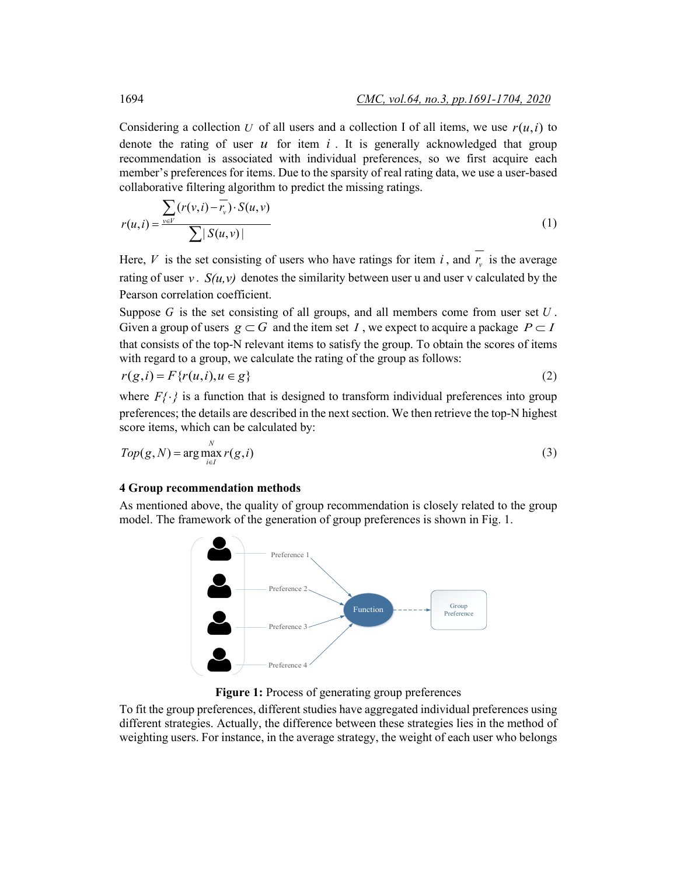Considering a collection *U* of all users and a collection I of all items, we use  $r(u,i)$  to denote the rating of user  $u$  for item  $i$ . It is generally acknowledged that group recommendation is associated with individual preferences, so we first acquire each member's preferences for items. Due to the sparsity of real rating data, we use a user-based collaborative filtering algorithm to predict the missing ratings.

$$
r(u,i) = \frac{\sum_{v \in V} (r(v,i) - \overline{r_v}) \cdot S(u,v)}{\sum |S(u,v)|}
$$
\n(1)

Here,  $V$  is the set consisting of users who have ratings for item  $i$ , and  $r<sub>v</sub>$  is the average rating of user  $v$ .  $S(u, v)$  denotes the similarity between user u and user v calculated by the Pearson correlation coefficient.

Suppose *G* is the set consisting of all groups, and all members come from user set *U* . Given a group of users  $g \subset G$  and the item set *I*, we expect to acquire a package  $P \subset I$ that consists of the top-N relevant items to satisfy the group. To obtain the scores of items with regard to a group, we calculate the rating of the group as follows:

$$
r(g,i) = F\{r(u,i), u \in g\}
$$
\n<sup>(2)</sup>

where  $F\{\cdot\}$  is a function that is designed to transform individual preferences into group preferences; the details are described in the next section. We then retrieve the top-N highest score items, which can be calculated by:

$$
Top(g, N) = \arg\max_{i \in I} r(g, i)
$$
\n(3)

#### **4 Group recommendation methods**

As mentioned above, the quality of group recommendation is closely related to the group model. The framework of the generation of group preferences is shown in Fig. 1.



Figure 1: Process of generating group preferences

To fit the group preferences, different studies have aggregated individual preferences using different strategies. Actually, the difference between these strategies lies in the method of weighting users. For instance, in the average strategy, the weight of each user who belongs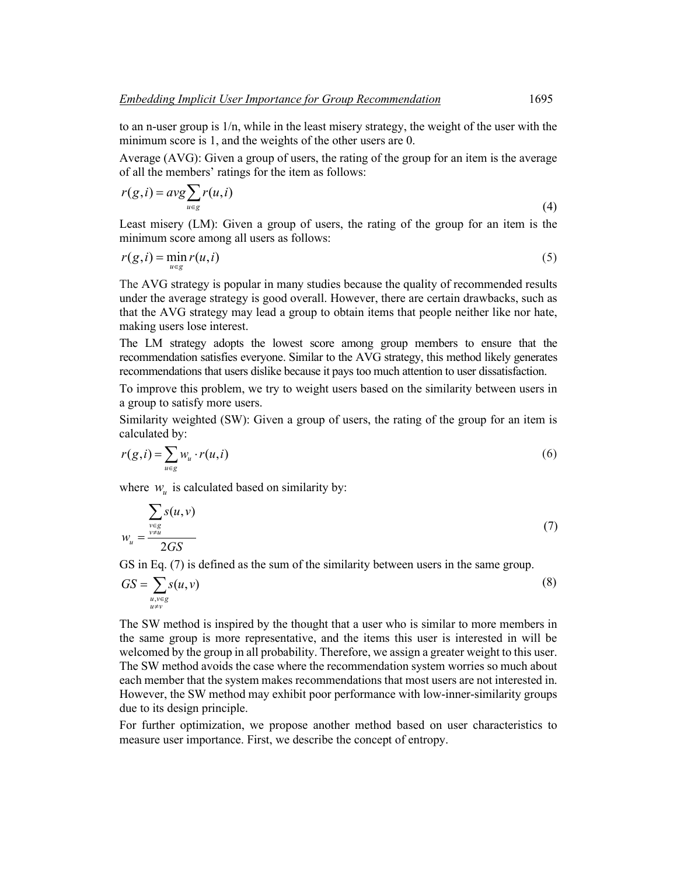to an n-user group is 1/n, while in the least misery strategy, the weight of the user with the minimum score is 1, and the weights of the other users are 0.

Average (AVG): Given a group of users, the rating of the group for an item is the average of all the members' ratings for the item as follows:

$$
r(g, i) = avg \sum_{u \in g} r(u, i)
$$
\n<sup>(4)</sup>

Least misery (LM): Given a group of users, the rating of the group for an item is the minimum score among all users as follows:

$$
r(g, i) = \min_{u \in g} r(u, i) \tag{5}
$$

The AVG strategy is popular in many studies because the quality of recommended results under the average strategy is good overall. However, there are certain drawbacks, such as that the AVG strategy may lead a group to obtain items that people neither like nor hate, making users lose interest.

The LM strategy adopts the lowest score among group members to ensure that the recommendation satisfies everyone. Similar to the AVG strategy, this method likely generates recommendations that users dislike because it pays too much attention to user dissatisfaction.

To improve this problem, we try to weight users based on the similarity between users in a group to satisfy more users.

Similarity weighted (SW): Given a group of users, the rating of the group for an item is calculated by:

$$
r(g,i) = \sum_{u \in g} w_u \cdot r(u,i) \tag{6}
$$

where  $w_{\nu}$  is calculated based on similarity by:

$$
w_u = \frac{\sum_{\substack{v \in g \\ v \neq u}} s(u, v)}{2GS}
$$
 (7)

GS in Eq. (7) is defined as the sum of the similarity between users in the same group.

$$
GS = \sum_{\substack{u,v \in g \\ u \neq v}} s(u,v) \tag{8}
$$

The SW method is inspired by the thought that a user who is similar to more members in the same group is more representative, and the items this user is interested in will be welcomed by the group in all probability. Therefore, we assign a greater weight to this user. The SW method avoids the case where the recommendation system worries so much about each member that the system makes recommendations that most users are not interested in. However, the SW method may exhibit poor performance with low-inner-similarity groups due to its design principle.

For further optimization, we propose another method based on user characteristics to measure user importance. First, we describe the concept of entropy.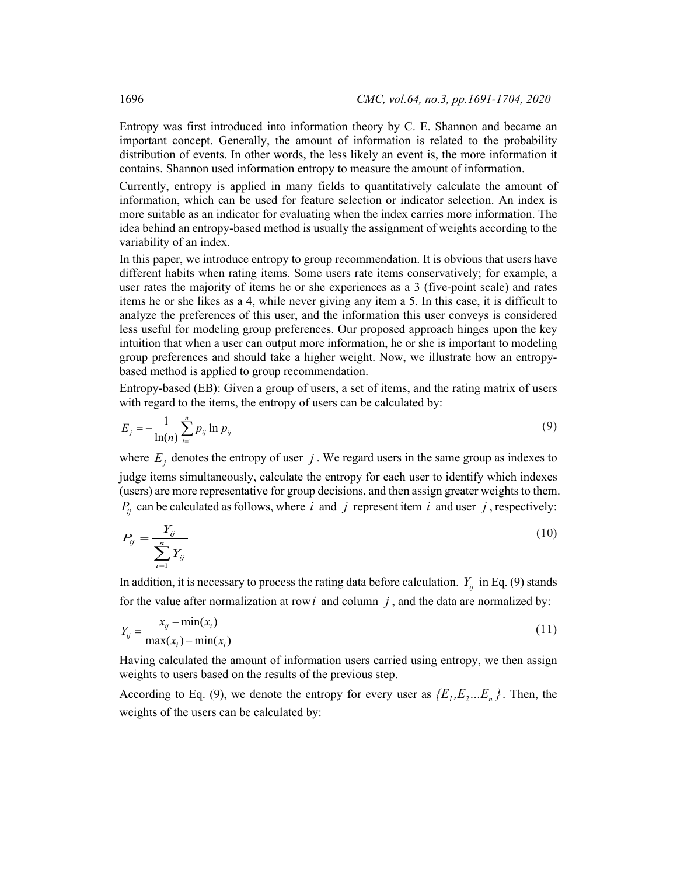Entropy was first introduced into information theory by C. E. Shannon and became an important concept. Generally, the amount of information is related to the probability distribution of events. In other words, the less likely an event is, the more information it contains. Shannon used information entropy to measure the amount of information.

Currently, entropy is applied in many fields to quantitatively calculate the amount of information, which can be used for feature selection or indicator selection. An index is more suitable as an indicator for evaluating when the index carries more information. The idea behind an entropy-based method is usually the assignment of weights according to the variability of an index.

In this paper, we introduce entropy to group recommendation. It is obvious that users have different habits when rating items. Some users rate items conservatively; for example, a user rates the majority of items he or she experiences as a 3 (five-point scale) and rates items he or she likes as a 4, while never giving any item a 5. In this case, it is difficult to analyze the preferences of this user, and the information this user conveys is considered less useful for modeling group preferences. Our proposed approach hinges upon the key intuition that when a user can output more information, he or she is important to modeling group preferences and should take a higher weight. Now, we illustrate how an entropybased method is applied to group recommendation.

Entropy-based (EB): Given a group of users, a set of items, and the rating matrix of users with regard to the items, the entropy of users can be calculated by:

$$
E_j = -\frac{1}{\ln(n)} \sum_{i=1}^n p_{ij} \ln p_{ij}
$$
 (9)

where  $E_j$  denotes the entropy of user  $j$ . We regard users in the same group as indexes to judge items simultaneously, calculate the entropy for each user to identify which indexes (users) are more representative for group decisions, and then assign greater weightsto them.  $P_{ii}$  can be calculated as follows, where *i* and *j* represent item *i* and user *j*, respectively:

$$
P_{ij} = \frac{Y_{ij}}{\sum_{i=1}^{n} Y_{ij}} \tag{10}
$$

In addition, it is necessary to process the rating data before calculation.  $Y_{ij}$  in Eq. (9) stands for the value after normalization at row  $i$  and column  $j$ , and the data are normalized by:

$$
Y_{ij} = \frac{x_{ij} - \min(x_i)}{\max(x_i) - \min(x_i)}
$$
(11)

Having calculated the amount of information users carried using entropy, we then assign weights to users based on the results of the previous step.

According to Eq. (9), we denote the entropy for every user as  $\{E_1, E_2...E_n\}$ . Then, the weights of the users can be calculated by: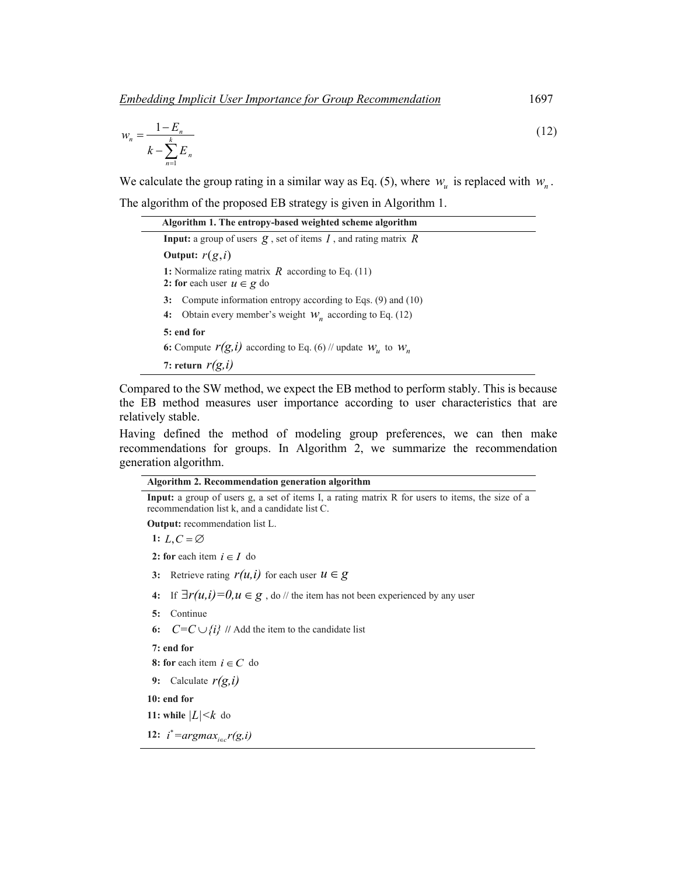*Embedding Implicit User Importance for Group Recommendation*1697

$$
w_n = \frac{1 - E_n}{k - \sum_{n=1}^{k} E_n}
$$
 (12)

We calculate the group rating in a similar way as Eq. (5), where  $w_u$  is replaced with  $w_u$ . The algorithm of the proposed EB strategy is given in Algorithm 1.

| Algorithm 1. The entropy-based weighted scheme algorithm                                                                               |
|----------------------------------------------------------------------------------------------------------------------------------------|
| <b>Input:</b> a group of users $\mathbf{g}$ , set of items $I$ , and rating matrix $R$                                                 |
| Output: $r(g, i)$                                                                                                                      |
| 1: Normalize rating matrix R according to Eq. $(11)$<br>2: for each user $u \in g$ do                                                  |
| Compute information entropy according to Eqs. $(9)$ and $(10)$<br>3:<br>Obtain every member's weight $W_n$ according to Eq. (12)<br>4: |
| 5: end for<br>6: Compute $r(g, i)$ according to Eq. (6) // update $W_u$ to $W_u$                                                       |
| 7: return $r(g, i)$                                                                                                                    |

Compared to the SW method, we expect the EB method to perform stably. This is because the EB method measures user importance according to user characteristics that are relatively stable.

Having defined the method of modeling group preferences, we can then make recommendations for groups. In Algorithm 2, we summarize the recommendation generation algorithm.

**Algorithm 2. Recommendation generation algorithm**

**Input:** a group of users g, a set of items I, a rating matrix R for users to items, the size of a recommendation list k, and a candidate list C.

**Output:** recommendation list L.

1:  $L, C = \emptyset$ 

**2:** for each item  $i \in I$  do

- **3:** Retrieve rating  $r(u, i)$  for each user  $u \in g$
- **4:** If  $\exists r(u,i)=0, u \in \mathcal{g}$ , do // the item has not been experienced by any user
- **5:** Continue
- **6:**  $C=C \cup \{i\}$  // Add the item to the candidate list

**7: end for**

**8:** for each item  $i \in C$  do

**9:** Calculate *r(g,i)*

**10: end for**

**11:** while  $|L| < k$  do

**12:**  $i^* = argmax_{i \in c} r(g, i)$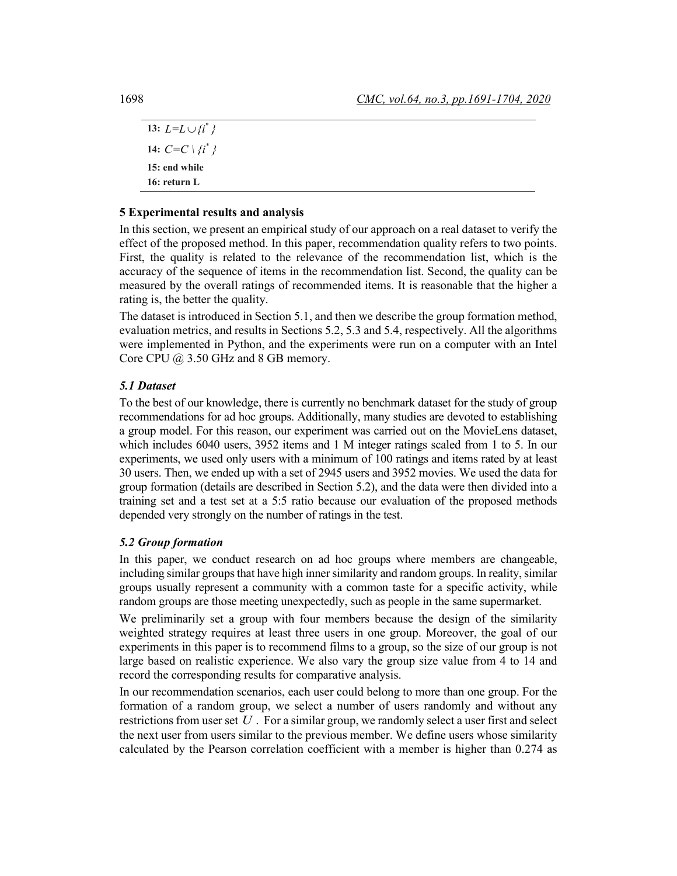13:  $L = L \cup \{i^*\}$ **14:**  $C=C \setminus \{i^*\}$ **15: end while 16: return L**

# **5 Experimental results and analysis**

In this section, we present an empirical study of our approach on a real dataset to verify the effect of the proposed method. In this paper, recommendation quality refers to two points. First, the quality is related to the relevance of the recommendation list, which is the accuracy of the sequence of items in the recommendation list. Second, the quality can be measured by the overall ratings of recommended items. It is reasonable that the higher a rating is, the better the quality.

The dataset is introduced in Section 5.1, and then we describe the group formation method, evaluation metrics, and results in Sections 5.2, 5.3 and 5.4, respectively. All the algorithms were implemented in Python, and the experiments were run on a computer with an Intel Core CPU @ 3.50 GHz and 8 GB memory.

# *5.1 Dataset*

To the best of our knowledge, there is currently no benchmark dataset for the study of group recommendations for ad hoc groups. Additionally, many studies are devoted to establishing a group model. For this reason, our experiment was carried out on the MovieLens dataset, which includes 6040 users, 3952 items and 1 M integer ratings scaled from 1 to 5. In our experiments, we used only users with a minimum of 100 ratings and items rated by at least 30 users. Then, we ended up with a set of 2945 users and 3952 movies. We used the data for group formation (details are described in Section 5.2), and the data were then divided into a training set and a test set at a 5:5 ratio because our evaluation of the proposed methods depended very strongly on the number of ratings in the test.

# *5.2 Group formation*

In this paper, we conduct research on ad hoc groups where members are changeable, including similar groups that have high inner similarity and random groups. In reality, similar groups usually represent a community with a common taste for a specific activity, while random groups are those meeting unexpectedly, such as people in the same supermarket.

We preliminarily set a group with four members because the design of the similarity weighted strategy requires at least three users in one group. Moreover, the goal of our experiments in this paper is to recommend films to a group, so the size of our group is not large based on realistic experience. We also vary the group size value from 4 to 14 and record the corresponding results for comparative analysis.

In our recommendation scenarios, each user could belong to more than one group. For the formation of a random group, we select a number of users randomly and without any restrictions from user set *U* . For a similar group, we randomly select a user first and select the next user from users similar to the previous member. We define users whose similarity calculated by the Pearson correlation coefficient with a member is higher than 0.274 as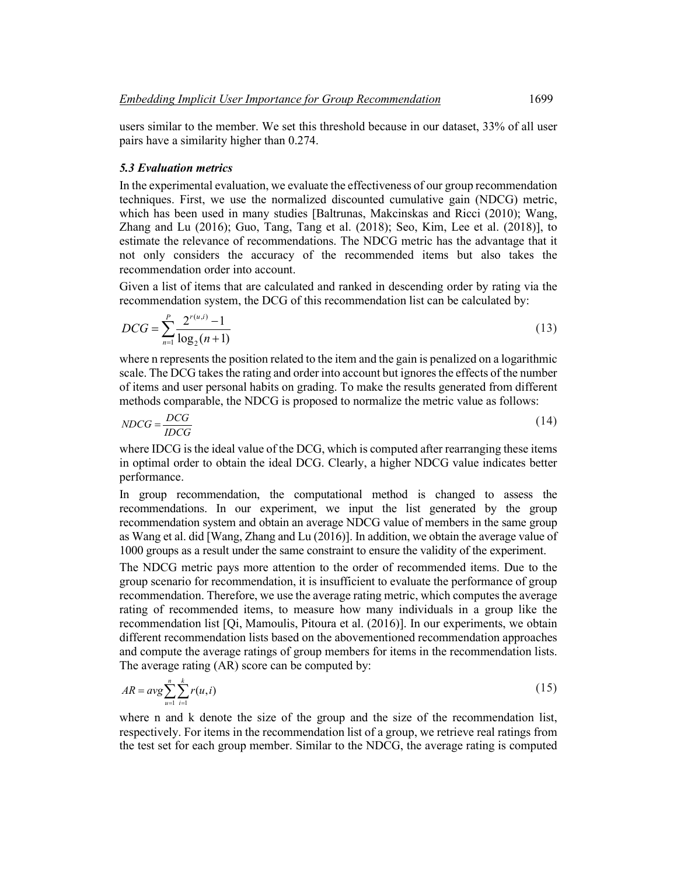users similar to the member. We set this threshold because in our dataset, 33% of all user pairs have a similarity higher than 0.274.

#### *5.3 Evaluation metrics*

In the experimental evaluation, we evaluate the effectiveness of our group recommendation techniques. First, we use the normalized discounted cumulative gain (NDCG) metric, which has been used in many studies [Baltrunas, Makcinskas and Ricci (2010); Wang, Zhang and Lu (2016); Guo, Tang, Tang et al. (2018); Seo, Kim, Lee et al. (2018)], to estimate the relevance of recommendations. The NDCG metric has the advantage that it not only considers the accuracy of the recommended items but also takes the recommendation order into account.

Given a list of items that are calculated and ranked in descending order by rating via the recommendation system, the DCG of this recommendation list can be calculated by:

$$
DCG = \sum_{n=1}^{P} \frac{2^{r(u,i)} - 1}{\log_2(n+1)}
$$
(13)

where n represents the position related to the item and the gain is penalized on a logarithmic scale. The DCG takes the rating and order into account but ignores the effects of the number of items and user personal habits on grading. To make the results generated from different methods comparable, the NDCG is proposed to normalize the metric value as follows:

$$
NDCG = \frac{DCG}{IDCG}
$$
\n
$$
(14)
$$

where IDCG is the ideal value of the DCG, which is computed after rearranging these items in optimal order to obtain the ideal DCG. Clearly, a higher NDCG value indicates better performance.

In group recommendation, the computational method is changed to assess the recommendations. In our experiment, we input the list generated by the group recommendation system and obtain an average NDCG value of members in the same group as Wang et al. did [Wang, Zhang and Lu (2016)]. In addition, we obtain the average value of 1000 groups as a result under the same constraint to ensure the validity of the experiment.

The NDCG metric pays more attention to the order of recommended items. Due to the group scenario for recommendation, it is insufficient to evaluate the performance of group recommendation. Therefore, we use the average rating metric, which computes the average rating of recommended items, to measure how many individuals in a group like the recommendation list [Qi, Mamoulis, Pitoura et al. (2016)]. In our experiments, we obtain different recommendation lists based on the abovementioned recommendation approaches and compute the average ratings of group members for items in the recommendation lists. The average rating (AR) score can be computed by:

$$
AR = avg \sum_{u=1}^{n} \sum_{i=1}^{k} r(u, i)
$$
 (15)

where n and k denote the size of the group and the size of the recommendation list, respectively. For items in the recommendation list of a group, we retrieve real ratings from the test set for each group member. Similar to the NDCG, the average rating is computed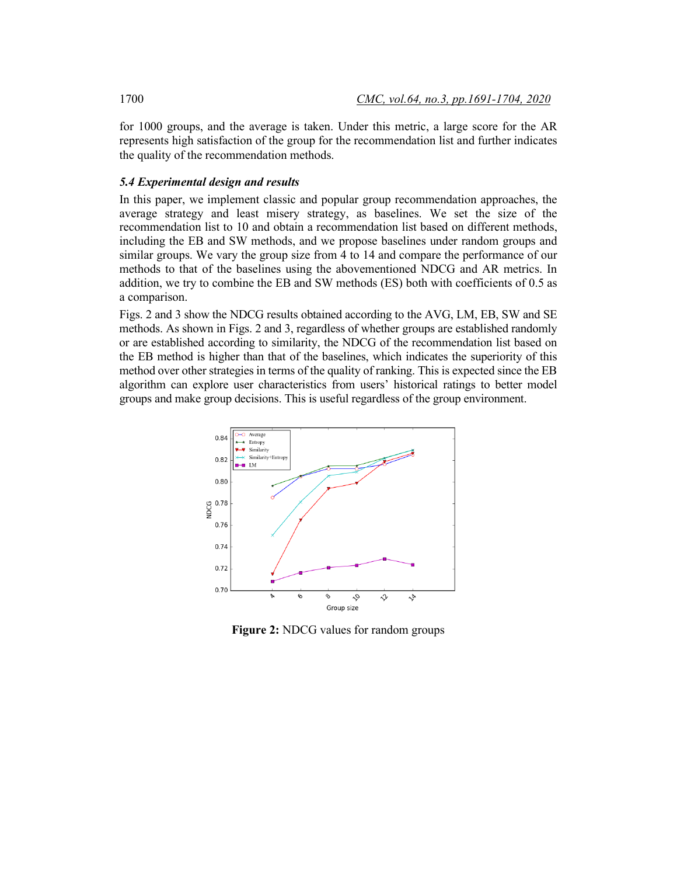for 1000 groups, and the average is taken. Under this metric, a large score for the AR represents high satisfaction of the group for the recommendation list and further indicates the quality of the recommendation methods.

# *5.4 Experimental design and results*

In this paper, we implement classic and popular group recommendation approaches, the average strategy and least misery strategy, as baselines. We set the size of the recommendation list to 10 and obtain a recommendation list based on different methods, including the EB and SW methods, and we propose baselines under random groups and similar groups. We vary the group size from 4 to 14 and compare the performance of our methods to that of the baselines using the abovementioned NDCG and AR metrics. In addition, we try to combine the EB and SW methods (ES) both with coefficients of 0.5 as a comparison.

Figs. 2 and 3 show the NDCG results obtained according to the AVG, LM, EB, SW and SE methods. As shown in Figs. 2 and 3, regardless of whether groups are established randomly or are established according to similarity, the NDCG of the recommendation list based on the EB method is higher than that of the baselines, which indicates the superiority of this method over other strategies in terms of the quality of ranking. This is expected since the EB algorithm can explore user characteristics from users' historical ratings to better model groups and make group decisions. This is useful regardless of the group environment.



**Figure 2:** NDCG values for random groups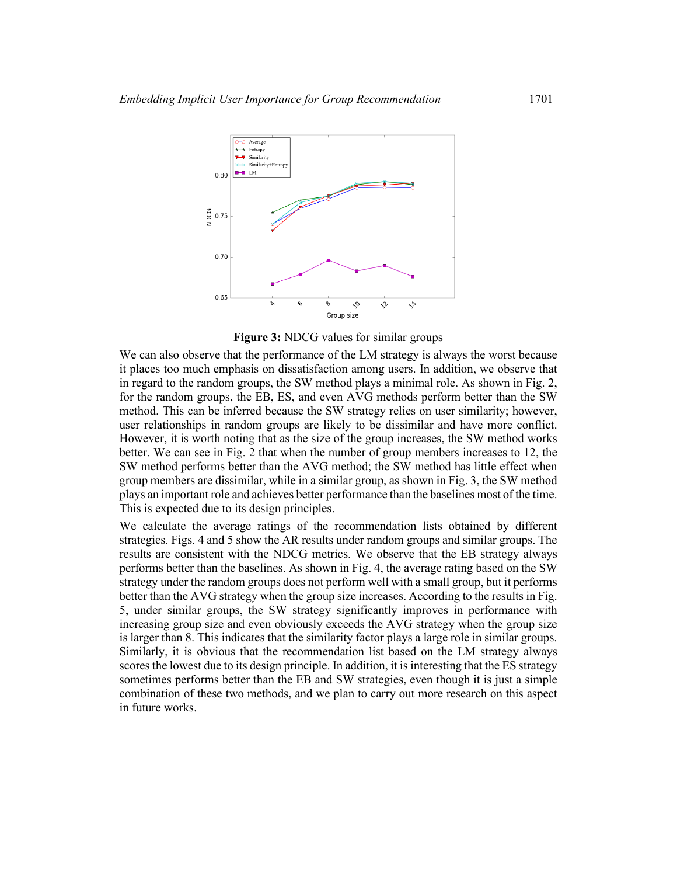

**Figure 3:** NDCG values for similar groups

We can also observe that the performance of the LM strategy is always the worst because it places too much emphasis on dissatisfaction among users. In addition, we observe that in regard to the random groups, the SW method plays a minimal role. As shown in Fig. 2, for the random groups, the EB, ES, and even AVG methods perform better than the SW method. This can be inferred because the SW strategy relies on user similarity; however, user relationships in random groups are likely to be dissimilar and have more conflict. However, it is worth noting that as the size of the group increases, the SW method works better. We can see in Fig. 2 that when the number of group members increases to 12, the SW method performs better than the AVG method; the SW method has little effect when group members are dissimilar, while in a similar group, as shown in Fig. 3, the SW method plays an important role and achieves better performance than the baselines most of the time. This is expected due to its design principles.

We calculate the average ratings of the recommendation lists obtained by different strategies. Figs. 4 and 5 show the AR results under random groups and similar groups. The results are consistent with the NDCG metrics. We observe that the EB strategy always performs better than the baselines. As shown in Fig. 4, the average rating based on the SW strategy under the random groups does not perform well with a small group, but it performs better than the AVG strategy when the group size increases. According to the results in Fig. 5, under similar groups, the SW strategy significantly improves in performance with increasing group size and even obviously exceeds the AVG strategy when the group size is larger than 8. This indicates that the similarity factor plays a large role in similar groups. Similarly, it is obvious that the recommendation list based on the LM strategy always scores the lowest due to its design principle. In addition, it is interesting that the ES strategy sometimes performs better than the EB and SW strategies, even though it is just a simple combination of these two methods, and we plan to carry out more research on this aspect in future works.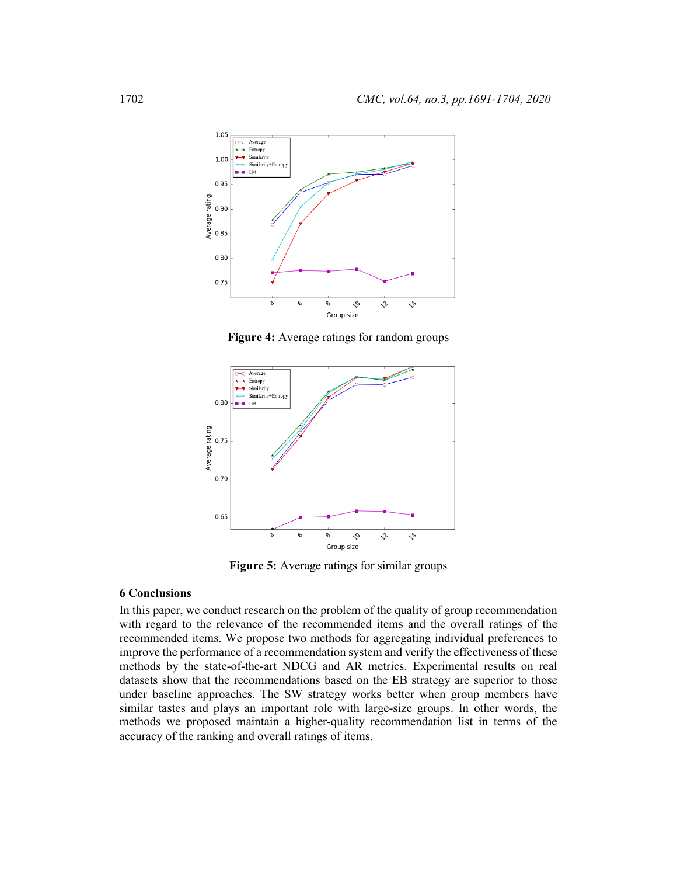

**Figure 4:** Average ratings for random groups



**Figure 5:** Average ratings for similar groups

### **6 Conclusions**

In this paper, we conduct research on the problem of the quality of group recommendation with regard to the relevance of the recommended items and the overall ratings of the recommended items. We propose two methods for aggregating individual preferences to improve the performance of a recommendation system and verify the effectiveness of these methods by the state-of-the-art NDCG and AR metrics. Experimental results on real datasets show that the recommendations based on the EB strategy are superior to those under baseline approaches. The SW strategy works better when group members have similar tastes and plays an important role with large-size groups. In other words, the methods we proposed maintain a higher-quality recommendation list in terms of the accuracy of the ranking and overall ratings of items.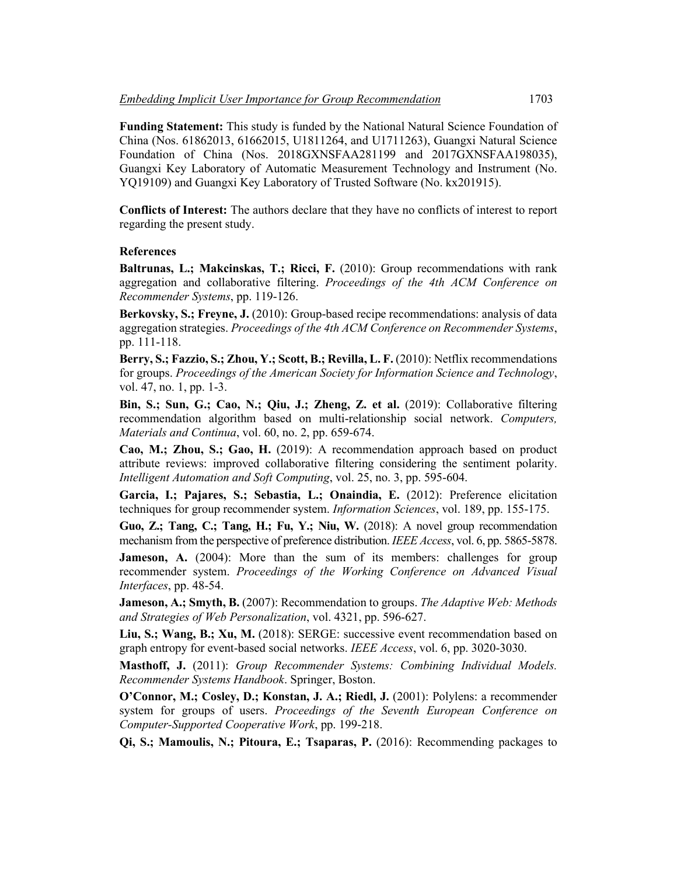**Funding Statement:** This study is funded by the National Natural Science Foundation of China (Nos. 61862013, 61662015, U1811264, and U1711263), Guangxi Natural Science Foundation of China (Nos. 2018GXNSFAA281199 and 2017GXNSFAA198035), Guangxi Key Laboratory of Automatic Measurement Technology and Instrument (No. YQ19109) and Guangxi Key Laboratory of Trusted Software (No. kx201915).

**Conflicts of Interest:** The authors declare that they have no conflicts of interest to report regarding the present study.

#### **References**

**Baltrunas, L.; Makcinskas, T.; Ricci, F.** (2010): Group recommendations with rank aggregation and collaborative filtering. *Proceedings of the 4th ACM Conference on Recommender Systems*, pp. 119-126.

**Berkovsky, S.; Freyne, J.** (2010): Group-based recipe recommendations: analysis of data aggregation strategies. *Proceedings of the 4th ACM Conference on Recommender Systems*, pp. 111-118.

**Berry, S.; Fazzio, S.; Zhou, Y.; Scott, B.; Revilla, L. F.** (2010): Netflix recommendations for groups. *Proceedings of the American Society for Information Science and Technology*, vol. 47, no. 1, pp. 1-3.

**Bin, S.; Sun, G.; Cao, N.; Qiu, J.; Zheng, Z. et al.** (2019): Collaborative filtering recommendation algorithm based on multi-relationship social network. *Computers, Materials and Continua*, vol. 60, no. 2, pp. 659-674.

**Cao, M.; Zhou, S.; Gao, H.** (2019): A recommendation approach based on product attribute reviews: improved collaborative filtering considering the sentiment polarity. *Intelligent Automation and Soft Computing*, vol. 25, no. 3, pp. 595-604.

**Garcia, I.; Pajares, S.; Sebastia, L.; Onaindia, E.** (2012): Preference elicitation techniques for group recommender system. *Information Sciences*, vol. 189, pp. 155-175.

**Guo, Z.; Tang, C.; Tang, H.; Fu, Y.; Niu, W.** (2018): A novel group recommendation mechanism from the perspective of preference distribution. *IEEE Access*, vol. 6, pp. 5865-5878.

**Jameson, A.** (2004): More than the sum of its members: challenges for group recommender system. *Proceedings of the Working Conference on Advanced Visual Interfaces*, pp. 48-54.

**Jameson, A.; Smyth, B.** (2007): Recommendation to groups. *The Adaptive Web: Methods and Strategies of Web Personalization*, vol. 4321, pp. 596-627.

**Liu, S.; Wang, B.; Xu, M.** (2018): SERGE: successive event recommendation based on graph entropy for event-based social networks. *IEEE Access*, vol. 6, pp. 3020-3030.

**Masthoff, J.** (2011): *Group Recommender Systems: Combining Individual Models. Recommender Systems Handbook*. Springer, Boston.

**O'Connor, M.; Cosley, D.; Konstan, J. A.; Riedl, J.** (2001): Polylens: a recommender system for groups of users. *Proceedings of the Seventh European Conference on Computer-Supported Cooperative Work*, pp. 199-218.

**Qi, S.; Mamoulis, N.; Pitoura, E.; Tsaparas, P.** (2016): Recommending packages to